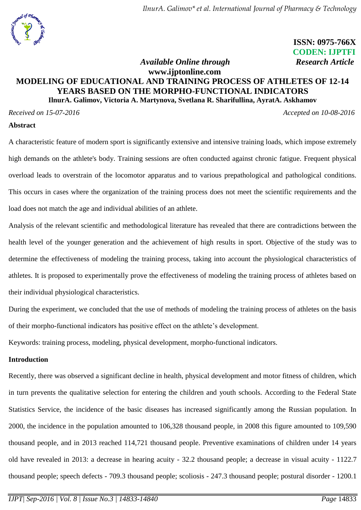

 **ISSN: 0975-766X CODEN: IJPTFI**  *Available Online through Research Article*

# **www.ijptonline.com MODELING OF EDUCATIONAL AND TRAINING PROCESS OF ATHLETES OF 12-14 YEARS BASED ON THE MORPHO-FUNCTIONAL INDICATORS IlnurA. Galimov, Victoria A. Martynova, Svetlana R. Sharifullina, AyratA. Askhamov**

*Received on 15-07-2016 Accepted on 10-08-2016* 

#### **Abstract**

A characteristic feature of modern sport is significantly extensive and intensive training loads, which impose extremely high demands on the athlete's body. Training sessions are often conducted against chronic fatigue. Frequent physical overload leads to overstrain of the locomotor apparatus and to various prepathological and pathological conditions. This occurs in cases where the organization of the training process does not meet the scientific requirements and the load does not match the age and individual abilities of an athlete.

Analysis of the relevant scientific and methodological literature has revealed that there are contradictions between the health level of the younger generation and the achievement of high results in sport. Objective of the study was to determine the effectiveness of modeling the training process, taking into account the physiological characteristics of athletes. It is proposed to experimentally prove the effectiveness of modeling the training process of athletes based on their individual physiological characteristics.

During the experiment, we concluded that the use of methods of modeling the training process of athletes on the basis of their morpho-functional indicators has positive effect on the athlete's development.

Keywords: training process, modeling, physical development, morpho-functional indicators.

## **Introduction**

Recently, there was observed a significant decline in health, physical development and motor fitness of children, which in turn prevents the qualitative selection for entering the children and youth schools. According to the Federal State Statistics Service, the incidence of the basic diseases has increased significantly among the Russian population. In 2000, the incidence in the population amounted to 106,328 thousand people, in 2008 this figure amounted to 109,590 thousand people, and in 2013 reached 114,721 thousand people. Preventive examinations of children under 14 years old have revealed in 2013: a decrease in hearing acuity - 32.2 thousand people; a decrease in visual acuity - 1122.7 thousand people; speech defects - 709.3 thousand people; scoliosis - 247.3 thousand people; postural disorder - 1200.1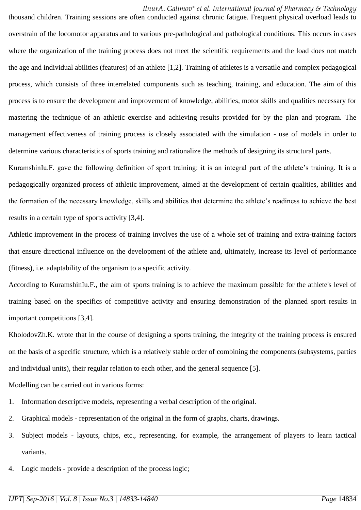*IlnurA. Galimov\* et al. International Journal of Pharmacy & Technology*

thousand children. Training sessions are often conducted against chronic fatigue. Frequent physical overload leads to overstrain of the locomotor apparatus and to various pre-pathological and pathological conditions. This occurs in cases where the organization of the training process does not meet the scientific requirements and the load does not match the age and individual abilities (features) of an athlete [1,2]. Training of athletes is a versatile and complex pedagogical process, which consists of three interrelated components such as teaching, training, and education. The aim of this process is to ensure the development and improvement of knowledge, abilities, motor skills and qualities necessary for mastering the technique of an athletic exercise and achieving results provided for by the plan and program. The management effectiveness of training process is closely associated with the simulation - use of models in order to determine various characteristics of sports training and rationalize the methods of designing its structural parts.

KuramshinIu.F. gave the following definition of sport training: it is an integral part of the athlete's training. It is a pedagogically organized process of athletic improvement, aimed at the development of certain qualities, abilities and the formation of the necessary knowledge, skills and abilities that determine the athlete's readiness to achieve the best results in a certain type of sports activity [3,4].

Athletic improvement in the process of training involves the use of a whole set of training and extra-training factors that ensure directional influence on the development of the athlete and, ultimately, increase its level of performance (fitness), i.e. adaptability of the organism to a specific activity.

According to KuramshinIu.F., the aim of sports training is to achieve the maximum possible for the athlete's level of training based on the specifics of competitive activity and ensuring demonstration of the planned sport results in important competitions [3,4].

KholodovZh.K. wrote that in the course of designing a sports training, the integrity of the training process is ensured on the basis of a specific structure, which is a relatively stable order of combining the components (subsystems, parties and individual units), their regular relation to each other, and the general sequence [5].

Modelling can be carried out in various forms:

- 1. Information descriptive models, representing a verbal description of the original.
- 2. Graphical models representation of the original in the form of graphs, charts, drawings.
- 3. Subject models layouts, chips, etc., representing, for example, the arrangement of players to learn tactical variants.
- 4. Logic models provide a description of the process logic;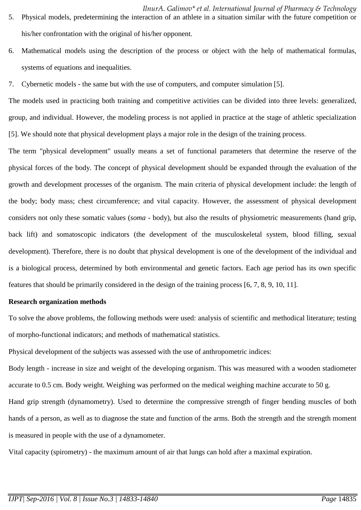- *IlnurA. Galimov\* et al. International Journal of Pharmacy & Technology* 5. Physical models, predetermining the interaction of an athlete in a situation similar with the future competition or his/her confrontation with the original of his/her opponent.
- 6. Mathematical models using the description of the process or object with the help of mathematical formulas, systems of equations and inequalities.
- 7. Cybernetic models the same but with the use of computers, and computer simulation [5].

The models used in practicing both training and competitive activities can be divided into three levels: generalized, group, and individual. However, the modeling process is not applied in practice at the stage of athletic specialization [5]. We should note that physical development plays a major role in the design of the training process.

The term "physical development" usually means a set of functional parameters that determine the reserve of the physical forces of the body. The concept of physical development should be expanded through the evaluation of the growth and development processes of the organism. The main criteria of physical development include: the length of the body; body mass; chest circumference; and vital capacity. However, the assessment of physical development considers not only these somatic values (*soma* - body), but also the results of physiometric measurements (hand grip, back lift) and somatoscopic indicators (the development of the musculoskeletal system, blood filling, sexual development). Therefore, there is no doubt that physical development is one of the development of the individual and is a biological process, determined by both environmental and genetic factors. Each age period has its own specific features that should be primarily considered in the design of the training process [6, 7, 8, 9, 10, 11].

#### **Research organization methods**

To solve the above problems, the following methods were used: analysis of scientific and methodical literature; testing of morpho-functional indicators; and methods of mathematical statistics.

Physical development of the subjects was assessed with the use of anthropometric indices:

Body length - increase in size and weight of the developing organism. This was measured with a wooden stadiometer accurate to 0.5 cm. Body weight. Weighing was performed on the medical weighing machine accurate to 50 g.

Hand grip strength (dynamometry). Used to determine the compressive strength of finger bending muscles of both hands of a person, as well as to diagnose the state and function of the arms. Both the strength and the strength moment is measured in people with the use of a dynamometer.

Vital capacity (spirometry) - the maximum amount of air that lungs can hold after a maximal expiration.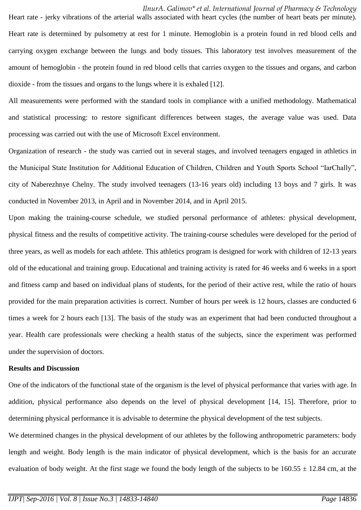## *IlnurA. Galimov\* et al. International Journal of Pharmacy & Technology*

Heart rate - jerky vibrations of the arterial walls associated with heart cycles (the number of heart beats per minute). Heart rate is determined by pulsometry at rest for 1 minute. Hemoglobin is a protein found in red blood cells and carrying oxygen exchange between the lungs and body tissues. This laboratory test involves measurement of the amount of hemoglobin - the protein found in red blood cells that carries oxygen to the tissues and organs, and carbon dioxide - from the tissues and organs to the lungs where it is exhaled [12].

All measurements were performed with the standard tools in compliance with a unified methodology. Mathematical and statistical processing: to restore significant differences between stages, the average value was used. Data processing was carried out with the use of Microsoft Excel environment.

Organization of research - the study was carried out in several stages, and involved teenagers engaged in athletics in the Municipal State Institution for Additional Education of Children, Children and Youth Sports School "IarChally", city of Naberezhnye Chelny. The study involved teenagers (13-16 years old) including 13 boys and 7 girls. It was conducted in November 2013, in April and in November 2014, and in April 2015.

Upon making the training-course schedule, we studied personal performance of athletes: physical development, physical fitness and the results of competitive activity. The training-course schedules were developed for the period of three years, as well as models for each athlete. This athletics program is designed for work with children of 12-13 years old of the educational and training group. Educational and training activity is rated for 46 weeks and 6 weeks in a sport and fitness camp and based on individual plans of students, for the period of their active rest, while the ratio of hours provided for the main preparation activities is correct. Number of hours per week is 12 hours, classes are conducted 6 times a week for 2 hours each [13]. The basis of the study was an experiment that had been conducted throughout a year. Health care professionals were checking a health status of the subjects, since the experiment was performed under the supervision of doctors.

### **Results and Discussion**

One of the indicators of the functional state of the organism is the level of physical performance that varies with age. In addition, physical performance also depends on the level of physical development [14, 15]. Therefore, prior to determining physical performance it is advisable to determine the physical development of the test subjects.

We determined changes in the physical development of our athletes by the following anthropometric parameters: body length and weight. Body length is the main indicator of physical development, which is the basis for an accurate evaluation of body weight. At the first stage we found the body length of the subjects to be  $160.55 \pm 12.84$  cm, at the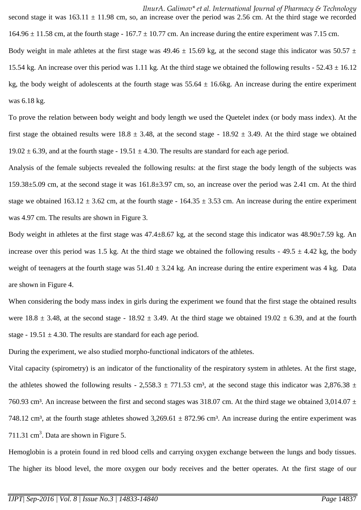*IlnurA. Galimov\* et al. International Journal of Pharmacy & Technology* second stage it was  $163.11 \pm 11.98$  cm, so, an increase over the period was 2.56 cm. At the third stage we recorded  $164.96 \pm 11.58$  cm, at the fourth stage -  $167.7 \pm 10.77$  cm. An increase during the entire experiment was 7.15 cm. Body weight in male athletes at the first stage was  $49.46 \pm 15.69$  kg, at the second stage this indicator was  $50.57 \pm 1.69$ 15.54 kg. An increase over this period was 1.11 kg. At the third stage we obtained the following results -  $52.43 \pm 16.12$ kg, the body weight of adolescents at the fourth stage was  $55.64 \pm 16.6$ kg. An increase during the entire experiment was 6.18 kg.

To prove the relation between body weight and body length we used the Quetelet index (or body mass index). At the first stage the obtained results were  $18.8 \pm 3.48$ , at the second stage -  $18.92 \pm 3.49$ . At the third stage we obtained 19.02  $\pm$  6.39, and at the fourth stage - 19.51  $\pm$  4.30. The results are standard for each age period.

Analysis of the female subjects revealed the following results: at the first stage the body length of the subjects was 159.38±5.09 cm, at the second stage it was 161.8±3.97 cm, so, an increase over the period was 2.41 cm. At the third stage we obtained  $163.12 \pm 3.62$  cm, at the fourth stage -  $164.35 \pm 3.53$  cm. An increase during the entire experiment was 4.97 cm. The results are shown in Figure 3.

Body weight in athletes at the first stage was 47.4±8.67 kg, at the second stage this indicator was 48.90±7.59 kg. An increase over this period was 1.5 kg. At the third stage we obtained the following results -  $49.5 \pm 4.42$  kg, the body weight of teenagers at the fourth stage was  $51.40 \pm 3.24$  kg. An increase during the entire experiment was 4 kg. Data are shown in Figure 4.

When considering the body mass index in girls during the experiment we found that the first stage the obtained results were  $18.8 \pm 3.48$ , at the second stage -  $18.92 \pm 3.49$ . At the third stage we obtained  $19.02 \pm 6.39$ , and at the fourth stage - 19.51  $\pm$  4.30. The results are standard for each age period.

During the experiment, we also studied morpho-functional indicators of the athletes.

Vital capacity (spirometry) is an indicator of the functionality of the respiratory system in athletes. At the first stage, the athletes showed the following results - 2,558.3  $\pm$  771.53 cm<sup>3</sup>, at the second stage this indicator was 2,876.38  $\pm$ 760.93 cm<sup>3</sup>. An increase between the first and second stages was 318.07 cm. At the third stage we obtained 3,014.07  $\pm$ 748.12 cm<sup>3</sup>, at the fourth stage athletes showed  $3,269.61 \pm 872.96$  cm<sup>3</sup>. An increase during the entire experiment was 711.31  $\text{cm}^3$ . Data are shown in Figure 5.

Hemoglobin is a protein found in red blood cells and carrying oxygen exchange between the lungs and body tissues. The higher its blood level, the more oxygen our body receives and the better operates. At the first stage of our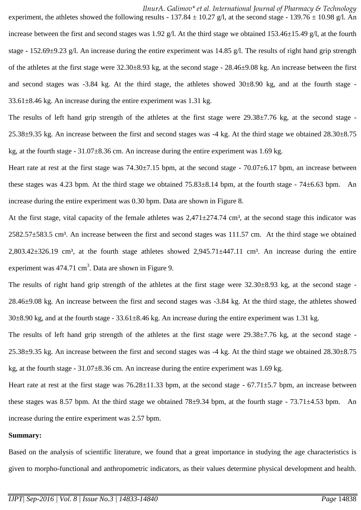*IlnurA. Galimov\* et al. International Journal of Pharmacy & Technology*

experiment, the athletes showed the following results - 137.84  $\pm$  10.27 g/l, at the second stage - 139.76  $\pm$  10.98 g/l. An increase between the first and second stages was 1.92 g/l. At the third stage we obtained 153.46±15.49 g/l, at the fourth stage - 152.69±9.23 g/l. An increase during the entire experiment was 14.85 g/l. The results of right hand grip strength of the athletes at the first stage were 32.30±8.93 kg, at the second stage - 28.46±9.08 kg. An increase between the first and second stages was -3.84 kg. At the third stage, the athletes showed 30±8.90 kg, and at the fourth stage -  $33.61\pm8.46$  kg. An increase during the entire experiment was 1.31 kg.

The results of left hand grip strength of the athletes at the first stage were 29.38±7.76 kg, at the second stage -25.38±9.35 kg. An increase between the first and second stages was -4 kg. At the third stage we obtained 28.30±8.75 kg, at the fourth stage -  $31.07\pm8.36$  cm. An increase during the entire experiment was 1.69 kg.

Heart rate at rest at the first stage was  $74.30\pm7.15$  bpm, at the second stage -  $70.07\pm6.17$  bpm, an increase between these stages was 4.23 bpm. At the third stage we obtained  $75.83\pm8.14$  bpm, at the fourth stage -  $74\pm6.63$  bpm. An increase during the entire experiment was 0.30 bpm. Data are shown in Figure 8.

At the first stage, vital capacity of the female athletes was  $2,471\pm274.74$  cm<sup>3</sup>, at the second stage this indicator was 2582.57±583.5 cm³. An increase between the first and second stages was 111.57 cm. At the third stage we obtained  $2,803.42\pm326.19$  cm<sup>3</sup>, at the fourth stage athletes showed  $2,945.71\pm447.11$  cm<sup>3</sup>. An increase during the entire experiment was  $474.71 \text{ cm}^3$ . Data are shown in Figure 9.

The results of right hand grip strength of the athletes at the first stage were  $32.30\pm8.93$  kg, at the second stage -28.46±9.08 kg. An increase between the first and second stages was -3.84 kg. At the third stage, the athletes showed  $30\pm8.90$  kg, and at the fourth stage -  $33.61\pm8.46$  kg. An increase during the entire experiment was 1.31 kg.

The results of left hand grip strength of the athletes at the first stage were 29.38 $\pm$ 7.76 kg, at the second stage -25.38±9.35 kg. An increase between the first and second stages was -4 kg. At the third stage we obtained 28.30±8.75 kg, at the fourth stage - 31.07±8.36 cm. An increase during the entire experiment was 1.69 kg.

Heart rate at rest at the first stage was  $76.28 \pm 11.33$  bpm, at the second stage -  $67.71 \pm 5.7$  bpm, an increase between these stages was 8.57 bpm. At the third stage we obtained  $78\pm9.34$  bpm, at the fourth stage -  $73.71\pm4.53$  bpm. An increase during the entire experiment was 2.57 bpm.

#### **Summary:**

Based on the analysis of scientific literature, we found that a great importance in studying the age characteristics is given to morpho-functional and anthropometric indicators, as their values determine physical development and health.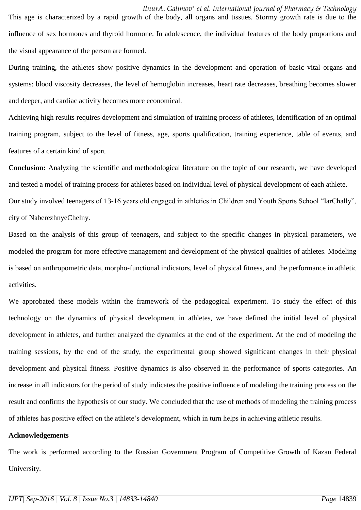*IlnurA. Galimov\* et al. International Journal of Pharmacy & Technology* This age is characterized by a rapid growth of the body, all organs and tissues. Stormy growth rate is due to the influence of sex hormones and thyroid hormone. In adolescence, the individual features of the body proportions and the visual appearance of the person are formed.

During training, the athletes show positive dynamics in the development and operation of basic vital organs and systems: blood viscosity decreases, the level of hemoglobin increases, heart rate decreases, breathing becomes slower and deeper, and cardiac activity becomes more economical.

Achieving high results requires development and simulation of training process of athletes, identification of an optimal training program, subject to the level of fitness, age, sports qualification, training experience, table of events, and features of a certain kind of sport.

**Conclusion:** Analyzing the scientific and methodological literature on the topic of our research, we have developed and tested a model of training process for athletes based on individual level of physical development of each athlete. Our study involved teenagers of 13-16 years old engaged in athletics in Children and Youth Sports School "IarChally", city of NaberezhnyeChelny.

Based on the analysis of this group of teenagers, and subject to the specific changes in physical parameters, we modeled the program for more effective management and development of the physical qualities of athletes. Modeling is based on anthropometric data, morpho-functional indicators, level of physical fitness, and the performance in athletic activities.

We approbated these models within the framework of the pedagogical experiment. To study the effect of this technology on the dynamics of physical development in athletes, we have defined the initial level of physical development in athletes, and further analyzed the dynamics at the end of the experiment. At the end of modeling the training sessions, by the end of the study, the experimental group showed significant changes in their physical development and physical fitness. Positive dynamics is also observed in the performance of sports categories. An increase in all indicators for the period of study indicates the positive influence of modeling the training process on the result and confirms the hypothesis of our study. We concluded that the use of methods of modeling the training process of athletes has positive effect on the athlete's development, which in turn helps in achieving athletic results.

## **Acknowledgements**

The work is performed according to the Russian Government Program of Competitive Growth of Kazan Federal University.